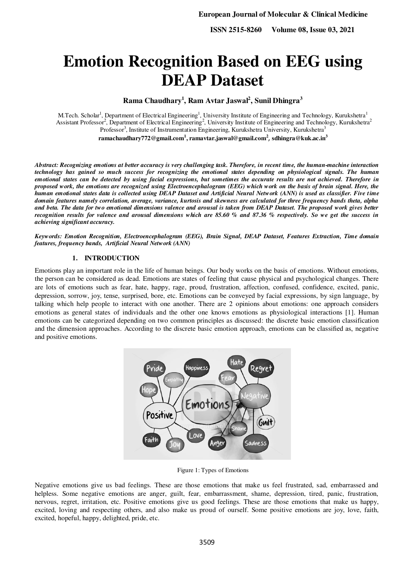**ISSN 2515-8260 Volume 08, Issue 03, 2021**

# **Emotion Recognition Based on EEG using DEAP Dataset**

**Rama Chaudhary<sup>1</sup> , Ram Avtar Jaswal<sup>2</sup> , Sunil Dhingra<sup>3</sup>**

M.Tech. Scholar<sup>1</sup>, Department of Electrical Engineering<sup>1</sup>, University Institute of Engineering and Technology, Kurukshetra<sup>1</sup> Assistant Professor<sup>2</sup>, Department of Electrical Engineering<sup>2</sup>, University Institute of Engineering and Technology, Kurukshetra<sup>2</sup> Professor<sup>3</sup>, Institute of Instrumentation Engineering, Kurukshetra University, Kurukshetra<sup>3</sup>

**[ramachaudhary772@gmail.com](mailto:ramachaudhary772@gmail.com1)<sup>1</sup> [, ramavtar.jaswal@gmail.com](mailto:ramavtar.jaswal@gmail.com2)<sup>2</sup>** , **sdhingra@kuk.ac.in<sup>3</sup>**

*Abstract: Recognizing emotions at better accuracy is very challenging task. Therefore, in recent time, the human-machine interaction technology has gained so much success for recognizing the emotional states depending on physiological signals. The human emotional states can be detected by using facial expressions, but sometimes the accurate results are not achieved. Therefore in proposed work, the emotions are recognized using Electroencephalogram (EEG) which work on the basis of brain signal. Here, the human emotional states data is collected using DEAP Dataset and Artificial Neural Network (ANN) is used as classifier. Five time domain features namely correlation, average, variance, kurtosis and skewness are calculated for three frequency bands theta, alpha and beta. The data for two emotional dimensions valence and arousal is taken from DEAP Dataset. The proposed work gives better recognition results for valence and arousal dimensions which are 85.60 % and 87.36 % respectively. So we get the success in achieving significant accuracy.* 

*Keywords: Emotion Recognition, Electroencephalogram (EEG), Brain Signal, DEAP Dataset, Features Extraction, Time domain features, frequency bands, Artificial Neural Network (ANN)* 

#### **1. INTRODUCTION**

Emotions play an important role in the life of human beings. Our body works on the basis of emotions. Without emotions, the person can be considered as dead. Emotions are states of feeling that cause physical and psychological changes. There are lots of emotions such as fear, hate, happy, rage, proud, frustration, affection, confused, confidence, excited, panic, depression, sorrow, joy, tense, surprised, bore, etc. Emotions can be conveyed by facial expressions, by sign language, by talking which help people to interact with one another. There are 2 opinions about emotions: one approach considers emotions as general states of individuals and the other one knows emotions as physiological interactions [1]. Human emotions can be categorized depending on two common principles as discussed: the discrete basic emotion classification and the dimension approaches. According to the discrete basic emotion approach, emotions can be classified as, negative and positive emotions.



Figure 1: Types of Emotions

Negative emotions give us bad feelings. These are those emotions that make us feel frustrated, sad, embarrassed and helpless. Some negative emotions are anger, guilt, fear, embarrassment, shame, depression, tired, panic, frustration, nervous, regret, irritation, etc. Positive emotions give us good feelings. These are those emotions that make us happy, excited, loving and respecting others, and also make us proud of ourself. Some positive emotions are joy, love, faith, excited, hopeful, happy, delighted, pride, etc.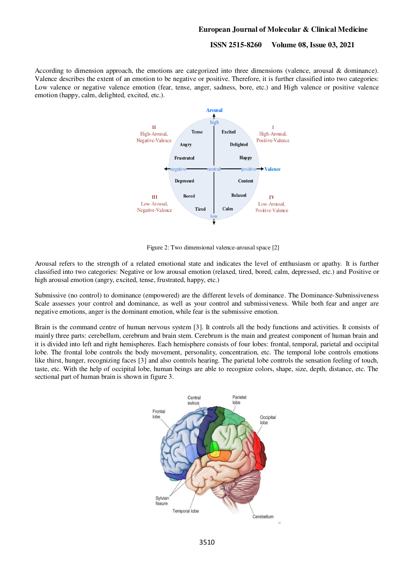#### **ISSN 2515-8260 Volume 08, Issue 03, 2021**

According to dimension approach, the emotions are categorized into three dimensions (valence, arousal & dominance). Valence describes the extent of an emotion to be negative or positive. Therefore, it is further classified into two categories: Low valence or negative valence emotion (fear, tense, anger, sadness, bore, etc.) and High valence or positive valence emotion (happy, calm, delighted, excited, etc.).



Figure 2: Two dimensional valence-arousal space [2]

Arousal refers to the strength of a related emotional state and indicates the level of enthusiasm or apathy. It is further classified into two categories: Negative or low arousal emotion (relaxed, tired, bored, calm, depressed, etc.) and Positive or high arousal emotion (angry, excited, tense, frustrated, happy, etc.)

Submissive (no control) to dominance (empowered) are the different levels of dominance. The Dominance-Submissiveness Scale assesses your control and dominance, as well as your control and submissiveness. While both fear and anger are negative emotions, anger is the dominant emotion, while fear is the submissive emotion.

Brain is the command centre of human nervous system [3]. It controls all the body functions and activities. It consists of mainly three parts: cerebellum, cerebrum and brain stem. Cerebrum is the main and greatest component of human brain and it is divided into left and right hemispheres. Each hemisphere consists of four lobes: frontal, temporal, parietal and occipital lobe. The frontal lobe controls the body movement, personality, concentration, etc. The temporal lobe controls emotions like thirst, hunger, recognizing faces [3] and also controls hearing. The parietal lobe controls the sensation feeling of touch, taste, etc. With the help of occipital lobe, human beings are able to recognize colors, shape, size, depth, distance, etc. The sectional part of human brain is shown in figure 3.

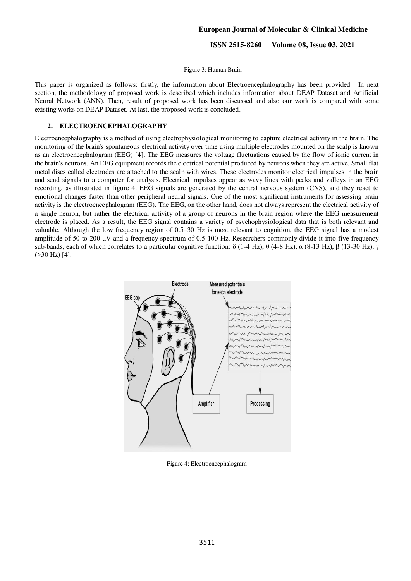**ISSN 2515-8260 Volume 08, Issue 03, 2021**

Figure 3: Human Brain

This paper is organized as follows: firstly, the information about Electroencephalography has been provided. In next section, the methodology of proposed work is described which includes information about DEAP Dataset and Artificial Neural Network (ANN). Then, result of proposed work has been discussed and also our work is compared with some existing works on DEAP Dataset. At last, the proposed work is concluded.

#### **2. ELECTROENCEPHALOGRAPHY**

Electroencephalography is a method of using electrophysiological monitoring to capture electrical activity in the brain. The monitoring of the brain's spontaneous electrical activity over time using multiple electrodes mounted on the scalp is known as an electroencephalogram (EEG) [4]. The EEG measures the voltage fluctuations caused by the flow of ionic current in the brain's neurons. An EEG equipment records the electrical potential produced by neurons when they are active. Small flat metal discs called electrodes are attached to the scalp with wires. These electrodes monitor electrical impulses in the brain and send signals to a computer for analysis. Electrical impulses appear as wavy lines with peaks and valleys in an EEG recording, as illustrated in figure 4. EEG signals are generated by the central nervous system (CNS), and they react to emotional changes faster than other peripheral neural signals. One of the most significant instruments for assessing brain activity is the electroencephalogram (EEG). The EEG, on the other hand, does not always represent the electrical activity of a single neuron, but rather the electrical activity of a group of neurons in the brain region where the EEG measurement electrode is placed. As a result, the EEG signal contains a variety of psychophysiological data that is both relevant and valuable. Although the low frequency region of 0.5–30 Hz is most relevant to cognition, the EEG signal has a modest amplitude of 50 to 200 μV and a frequency spectrum of 0.5-100 Hz. Researchers commonly divide it into five frequency sub-bands, each of which correlates to a particular cognitive function:  $\delta$  (1-4 Hz), θ (4-8 Hz), α (8-13 Hz), β (13-30 Hz), γ  $($ >30 Hz $)$  [4].



Figure 4: Electroencephalogram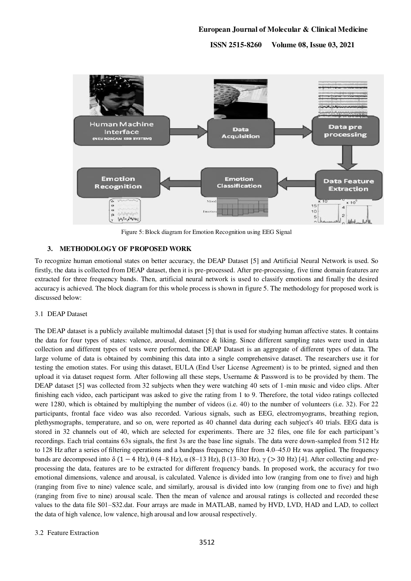**ISSN 2515-8260 Volume 08, Issue 03, 2021**



Figure 5: Block diagram for Emotion Recognition using EEG Signal

# **3. METHODOLOGY OF PROPOSED WORK**

To recognize human emotional states on better accuracy, the DEAP Dataset [5] and Artificial Neural Network is used. So firstly, the data is collected from DEAP dataset, then it is pre-processed. After pre-processing, five time domain features are extracted for three frequency bands. Then, artificial neural network is used to classify emotions and finally the desired accuracy is achieved. The block diagram for this whole process is shown in figure 5. The methodology for proposed work is discussed below:

#### 3.1 DEAP Dataset

The DEAP dataset is a publicly available multimodal dataset [5] that is used for studying human affective states. It contains the data for four types of states: valence, arousal, dominance & liking. Since different sampling rates were used in data collection and different types of tests were performed, the DEAP Dataset is an aggregate of different types of data. The large volume of data is obtained by combining this data into a single comprehensive dataset. The researchers use it for testing the emotion states. For using this dataset, EULA (End User License Agreement) is to be printed, signed and then upload it via dataset request form. After following all these steps, Username & Password is to be provided by them. The DEAP dataset [5] was collected from 32 subjects when they were watching 40 sets of 1-min music and video clips. After finishing each video, each participant was asked to give the rating from 1 to 9. Therefore, the total video ratings collected were 1280, which is obtained by multiplying the number of videos (i.e. 40) to the number of volunteers (i.e. 32). For 22 participants, frontal face video was also recorded. Various signals, such as EEG, electromyograms, breathing region, plethysmographs, temperature, and so on, were reported as 40 channel data during each subject's 40 trials. EEG data is stored in 32 channels out of 40, which are selected for experiments. There are 32 files, one file for each participant's recordings. Each trial contains 63s signals, the first 3s are the base line signals. The data were down-sampled from 512 Hz to 128 Hz after a series of filtering operations and a bandpass frequency filter from 4.0–45.0 Hz was applied. The frequency bands are decomposed into δ (1 – 4 Hz),  $\theta$  (4–8 Hz),  $\alpha$  (8–13 Hz),  $\beta$  (13–30 Hz),  $\gamma$  (> 30 Hz) [4]. After collecting and preprocessing the data, features are to be extracted for different frequency bands. In proposed work, the accuracy for two emotional dimensions, valence and arousal, is calculated. Valence is divided into low (ranging from one to five) and high (ranging from five to nine) valence scale, and similarly, arousal is divided into low (ranging from one to five) and high (ranging from five to nine) arousal scale. Then the mean of valence and arousal ratings is collected and recorded these values to the data file S01–S32.dat. Four arrays are made in MATLAB, named by HVD, LVD, HAD and LAD, to collect the data of high valence, low valence, high arousal and low arousal respectively.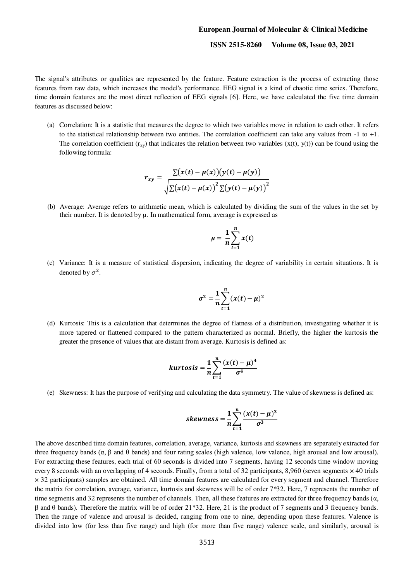#### **ISSN 2515-8260 Volume 08, Issue 03, 2021**

The signal's attributes or qualities are represented by the feature. Feature extraction is the process of extracting those features from raw data, which increases the model's performance. EEG signal is a kind of chaotic time series. Therefore, time domain features are the most direct reflection of EEG signals [6]. Here, we have calculated the five time domain features as discussed below:

(a) Correlation: It is a statistic that measures the degree to which two variables move in relation to each other. It refers to the statistical relationship between two entities. The correlation coefficient can take any values from -1 to +1. The correlation coefficient  $(r_{xy})$  that indicates the relation between two variables  $(x(t), y(t))$  can be found using the following formula:

$$
r_{xy} = \frac{\sum(x(t) - \mu(x))(y(t) - \mu(y))}{\sqrt{\sum(x(t) - \mu(x))^{2} \sum(y(t) - \mu(y))^{2}}}
$$

(b) Average: Average refers to arithmetic mean, which is calculated by dividing the sum of the values in the set by their number. It is denoted by  $\mu$ . In mathematical form, average is expressed as

$$
\mu = \frac{1}{n} \sum_{t=1}^{n} x(t)
$$

(c) Variance: It is a measure of statistical dispersion, indicating the degree of variability in certain situations. It is denoted by  $\sigma^2$ .

$$
\sigma^2 = \frac{1}{n} \sum_{t=1}^n (x(t) - \mu)^2
$$

(d) Kurtosis: This is a calculation that determines the degree of flatness of a distribution, investigating whether it is more tapered or flattened compared to the pattern characterized as normal. Briefly, the higher the kurtosis the greater the presence of values that are distant from average. Kurtosis is defined as:

$$
kurtosis = \frac{1}{n} \sum_{t=1}^{n} \frac{(x(t) - \mu)^4}{\sigma^4}
$$

(e) Skewness: It has the purpose of verifying and calculating the data symmetry. The value of skewness is defined as:

$$
skewness = \frac{1}{n} \sum_{t=1}^{n} \frac{(x(t) - \mu)^3}{\sigma^3}
$$

The above described time domain features, correlation, average, variance, kurtosis and skewness are separately extracted for three frequency bands (α, β and θ bands) and four rating scales (high valence, low valence, high arousal and low arousal). For extracting these features, each trial of 60 seconds is divided into 7 segments, having 12 seconds time window moving every 8 seconds with an overlapping of 4 seconds. Finally, from a total of 32 participants, 8,960 (seven segments  $\times$  40 trials × 32 participants) samples are obtained. All time domain features are calculated for every segment and channel. Therefore the matrix for correlation, average, variance, kurtosis and skewness will be of order 7\*32. Here, 7 represents the number of time segments and 32 represents the number of channels. Then, all these features are extracted for three frequency bands ( $\alpha$ , β and θ bands). Therefore the matrix will be of order 21\*32. Here, 21 is the product of 7 segments and 3 frequency bands. Then the range of valence and arousal is decided, ranging from one to nine, depending upon these features. Valence is divided into low (for less than five range) and high (for more than five range) valence scale, and similarly, arousal is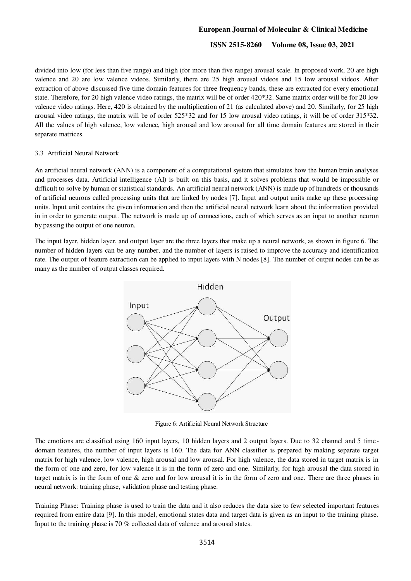### **ISSN 2515-8260 Volume 08, Issue 03, 2021**

divided into low (for less than five range) and high (for more than five range) arousal scale. In proposed work, 20 are high valence and 20 are low valence videos. Similarly, there are 25 high arousal videos and 15 low arousal videos. After extraction of above discussed five time domain features for three frequency bands, these are extracted for every emotional state. Therefore, for 20 high valence video ratings, the matrix will be of order 420\*32. Same matrix order will be for 20 low valence video ratings. Here, 420 is obtained by the multiplication of 21 (as calculated above) and 20. Similarly, for 25 high arousal video ratings, the matrix will be of order 525\*32 and for 15 low arousal video ratings, it will be of order 315\*32. All the values of high valence, low valence, high arousal and low arousal for all time domain features are stored in their separate matrices.

#### 3.3 Artificial Neural Network

An artificial neural network (ANN) is a component of a computational system that simulates how the human brain analyses and processes data. Artificial intelligence (AI) is built on this basis, and it solves problems that would be impossible or difficult to solve by human or statistical standards. An artificial neural network (ANN) is made up of hundreds or thousands of artificial neurons called processing units that are linked by nodes [7]. Input and output units make up these processing units. Input unit contains the given information and then the artificial neural network learn about the information provided in in order to generate output. The network is made up of connections, each of which serves as an input to another neuron by passing the output of one neuron.

The input layer, hidden layer, and output layer are the three layers that make up a neural network, as shown in figure 6. The number of hidden layers can be any number, and the number of layers is raised to improve the accuracy and identification rate. The output of feature extraction can be applied to input layers with N nodes [8]. The number of output nodes can be as many as the number of output classes required.



Figure 6: Artificial Neural Network Structure

The emotions are classified using 160 input layers, 10 hidden layers and 2 output layers. Due to 32 channel and 5 timedomain features, the number of input layers is 160. The data for ANN classifier is prepared by making separate target matrix for high valence, low valence, high arousal and low arousal. For high valence, the data stored in target matrix is in the form of one and zero, for low valence it is in the form of zero and one. Similarly, for high arousal the data stored in target matrix is in the form of one & zero and for low arousal it is in the form of zero and one. There are three phases in neural network: training phase, validation phase and testing phase.

Training Phase: Training phase is used to train the data and it also reduces the data size to few selected important features required from entire data [9]. In this model, emotional states data and target data is given as an input to the training phase. Input to the training phase is 70 % collected data of valence and arousal states.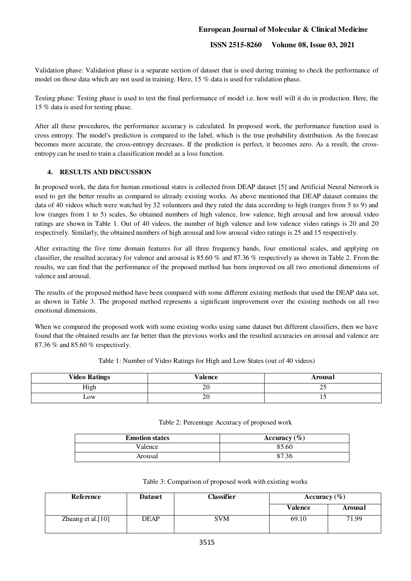# **ISSN 2515-8260 Volume 08, Issue 03, 2021**

Validation phase: Validation phase is a separate section of dataset that is used during training to check the performance of model on those data which are not used in training. Here, 15 % data is used for validation phase.

Testing phase: Testing phase is used to test the final performance of model i.e. how well will it do in production. Here, the 15 % data is used for testing phase.

After all these procedures, the performance accuracy is calculated. In proposed work, the performance function used is cross entropy. The model's prediction is compared to the label, which is the true probability distribution. As the forecast becomes more accurate, the cross-entropy decreases. If the prediction is perfect, it becomes zero. As a result, the crossentropy can be used to train a classification model as a loss function.

### **4. RESULTS AND DISCUSSION**

In proposed work, the data for human emotional states is collected from DEAP dataset [5] and Artificial Neural Network is used to get the better results as compared to already existing works. As above mentioned that DEAP dataset contains the data of 40 videos which were watched by 32 volunteers and they rated the data according to high (ranges from 5 to 9) and low (ranges from 1 to 5) scales, So obtained numbers of high valence, low valence, high arousal and low arousal video ratings are shown in Table 1. Out of 40 videos, the number of high valence and low valence video ratings is 20 and 20 respectively. Similarly, the obtained numbers of high arousal and low arousal video ratings is 25 and 15 respectively.

After extracting the five time domain features for all three frequency bands, four emotional scales, and applying on classifier, the resulted accuracy for valence and arousal is 85.60 % and 87.36 % respectively as shown in Table 2. From the results, we can find that the performance of the proposed method has been improved on all two emotional dimensions of valence and arousal.

The results of the proposed method have been compared with some different existing methods that used the DEAP data set, as shown in Table 3. The proposed method represents a significant improvement over the existing methods on all two emotional dimensions.

When we compared the proposed work with some existing works using same dataset but different classifiers, then we have found that the obtained results are far better than the previous works and the resulted accuracies on arousal and valence are 87.36 % and 85.60 % respectively.

| <b>Video Ratings</b> | <b>Valence</b> | Arousal |
|----------------------|----------------|---------|
| High                 | ററ<br>ZU       | ں رے    |
| LOW                  | 20             | $\cdot$ |

Table 1: Number of Video Ratings for High and Low States (out of 40 videos)

|  |  |  | Table 2: Percentage Accuracy of proposed work |  |  |
|--|--|--|-----------------------------------------------|--|--|
|--|--|--|-----------------------------------------------|--|--|

| <b>Emotion states</b> | Accuracy $(\% )$ |
|-----------------------|------------------|
| Valence               | 85.60            |
| Arousal               | 87.36            |

|  | Table 3: Comparison of proposed work with existing works |
|--|----------------------------------------------------------|
|  |                                                          |

| Reference         | <b>Dataset</b> | Classifier | Accuracy $(\% )$ |         |
|-------------------|----------------|------------|------------------|---------|
|                   |                |            | <b>Valence</b>   | Arousal |
| Zhuang et al.[10] | <b>DEAP</b>    | <b>SVM</b> | 69.10            | 71.99   |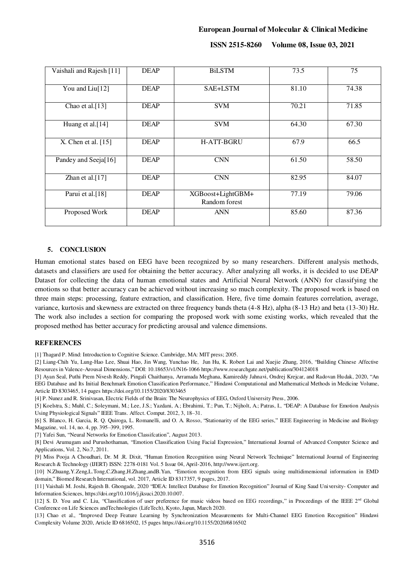**ISSN 2515-8260 Volume 08, Issue 03, 2021**

| Vaishali and Rajesh [11]    | <b>DEAP</b> | <b>BiLSTM</b>                      | 73.5  | 75    |
|-----------------------------|-------------|------------------------------------|-------|-------|
| You and Liu <sup>[12]</sup> | <b>DEAP</b> | SAE+LSTM                           | 81.10 | 74.38 |
| Chao et al. $[13]$          | <b>DEAP</b> | <b>SVM</b>                         | 70.21 | 71.85 |
| Huang et al.[14]            | <b>DEAP</b> | <b>SVM</b>                         | 64.30 | 67.30 |
| X. Chen et al. $[15]$       | <b>DEAP</b> | <b>H-ATT-BGRU</b>                  | 67.9  | 66.5  |
| Pandey and Seeja[16]        | <b>DEAP</b> | CNN                                | 61.50 | 58.50 |
| Zhan et al. $[17]$          | <b>DEAP</b> | <b>CNN</b>                         | 82.95 | 84.07 |
| Parui et al.[18]            | <b>DEAP</b> | XGBoost+LightGBM+<br>Random forest | 77.19 | 79.06 |
| Proposed Work               | <b>DEAP</b> | <b>ANN</b>                         | 85.60 | 87.36 |

#### **5. CONCLUSION**

Human emotional states based on EEG have been recognized by so many researchers. Different analysis methods, datasets and classifiers are used for obtaining the better accuracy. After analyzing all works, it is decided to use DEAP Dataset for collecting the data of human emotional states and Artificial Neural Network (ANN) for classifying the emotions so that better accuracy can be achieved without increasing so much complexity. The proposed work is based on three main steps: processing, feature extraction, and classification. Here, five time domain features correlation, average, variance, kurtosis and skewness are extracted on three frequency bands theta (4-8 Hz), alpha (8-13 Hz) and beta (13-30) Hz. The work also includes a section for comparing the proposed work with some existing works, which revealed that the proposed method has better accuracy for predicting arousal and valence dimensions.

#### **REFERENCES**

[1] Thagard P. Mind: Introduction to Cognitive Science. Cambridge, MA: MIT press; 2005.

[2] Liang-Chih Yu, Lung-Hao Lee, Shuai Hao, Jin Wang, Yunchao He, Jun Hu, K. Robert Lai and Xuejie Zhang, 2016, "Building Chinese Affective Resources in Valence-Arousal Dimensions," DOI: 10.18653/v1/N16-106[6 https://www.researchgate.net/publication/304124018](https://www.researchgate.net/publication/304124018) 

[3] Ayan Seal, Puthi Prem Nivesh Reddy, Pingali Chaithanya, Arramada Meghana, Kamireddy Jahnavi, Ondrej Krejcar, and Radovan Hudak, 2020, "An EEG Database and Its Initial Benchmark Emotion Classification Performance," Hindawi Computational and Mathematical Methods in Medicine Volume, Article ID 8303465, 14 page[s https://doi.org/10.1155/2020/8303465](https://doi.org/10.1155/2020/8303465) 

[4] P. Nunez and R. Srinivasan, Electric Fields of the Brain: The Neurophysics of EEG, Oxford University Press, 2006.

[5] Koelstra, S.; Muhl, C.; Soleymani, M.; Lee, J.S.; Yazdani, A.; Ebrahimi, T.; Pun, T.; Nijholt, A.; Patras, I., "DEAP: A Database for Emotion Analysis Using Physiological Signals" IEEE Trans. Affect. Comput. 2012, 3, 18–31.

[6] S. Blanco, H. Garcia, R. Q. Quiroga, L. Romanelli, and O. A. Rosso, "Stationarity of the EEG series," IEEE Engineering in Medicine and Biology Magazine, vol. 14, no. 4, pp. 395–399, 1995.

[7] Yafei Sun, "Neural Networks for Emotion Classifcation", August 2013.

[8] Devi Arumugam and Purushothaman, "Emotion Classification Using Facial Expression," International Journal of Advanced Computer Science and Applications, Vol. 2, No.7, 2011.

[9] Miss Pooja A Choudhari, Dr. M .R. Dixit, "Human Emotion Recognition using Neural Network Technique" International Journal of Engineering Research & Technology (IJERT) ISSN: 2278-0181 Vol. 5 Issue 04, April-2016[, http://www.ijert.org.](http://www.ijert.org/)

[10] N.Zhuang,Y.Zeng,L.Tong,C.Zhang,H.Zhang,andB.Yan, "Emotion recognition from EEG signals using multidimensional information in EMD domain," Biomed Research International, vol. 2017, Article ID 8317357, 9 pages, 2017.

[11] Vaishali M. Joshi, Rajesh B. Ghongade, 2020 "IDEA: Intellect Database for Emotion Recognition" Journal of King Saud University- Computer and Information Sciences[, https://doi.org/10.1016/j.jksuci.2020.10.007.](https://doi.org/10.1016/j.jksuci.2020.10.007) 

[12] S. D. You and C. Liu, "Classification of user preference for music videos based on EEG recordings," in Proceedings of the IEEE 2<sup>nd</sup> Global Conference on Life Sciences andTechnologies (LifeTech), Kyoto, Japan, March 2020.

[13] Chao et al., "Improved Deep Feature Learning by Synchronization Measurements for Multi-Channel EEG Emotion Recognition" Hindawi Complexity Volume 2020, Article ID 6816502, 15 pages<https://doi.org/10.1155/2020/6816502>